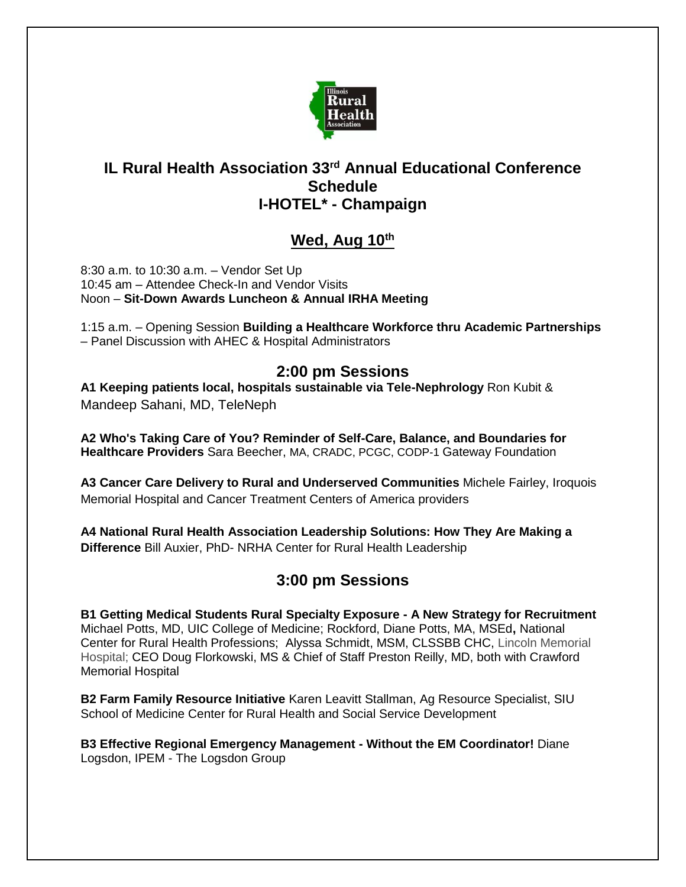

#### **IL Rural Health Association 33rd Annual Educational Conference Schedule I-HOTEL\* - Champaign**

## **Wed, Aug 10th**

8:30 a.m. to 10:30 a.m. – Vendor Set Up 10:45 am – Attendee Check-In and Vendor Visits Noon – **Sit-Down Awards Luncheon & Annual IRHA Meeting**

1:15 a.m. – Opening Session **Building a Healthcare Workforce thru Academic Partnerships** – Panel Discussion with AHEC & Hospital Administrators

#### **2:00 pm Sessions**

**A1 Keeping patients local, hospitals sustainable via Tele-Nephrology** Ron Kubit & Mandeep Sahani, MD, TeleNeph

**A2 Who's Taking Care of You? Reminder of Self-Care, Balance, and Boundaries for Healthcare Providers** Sara Beecher, MA, CRADC, PCGC, CODP-1 Gateway Foundation

**A3 Cancer Care Delivery to Rural and Underserved Communities** Michele Fairley, Iroquois Memorial Hospital and Cancer Treatment Centers of America providers

**A4 National Rural Health Association Leadership Solutions: How They Are Making a Difference** Bill Auxier, PhD- NRHA Center for Rural Health Leadership

# **3:00 pm Sessions**

**B1 Getting Medical Students Rural Specialty Exposure - A New Strategy for Recruitment**  Michael Potts, MD, UIC College of Medicine; Rockford, Diane Potts, MA, MSEd**,** National Center for Rural Health Professions; Alyssa Schmidt, MSM, CLSSBB CHC, Lincoln Memorial Hospital; CEO Doug Florkowski, MS & Chief of Staff Preston Reilly, MD, both with Crawford Memorial Hospital

**B2 Farm Family Resource Initiative** Karen Leavitt Stallman, Ag Resource Specialist, SIU School of Medicine Center for Rural Health and Social Service Development

**B3 Effective Regional Emergency Management - Without the EM Coordinator!** Diane Logsdon, IPEM - The Logsdon Group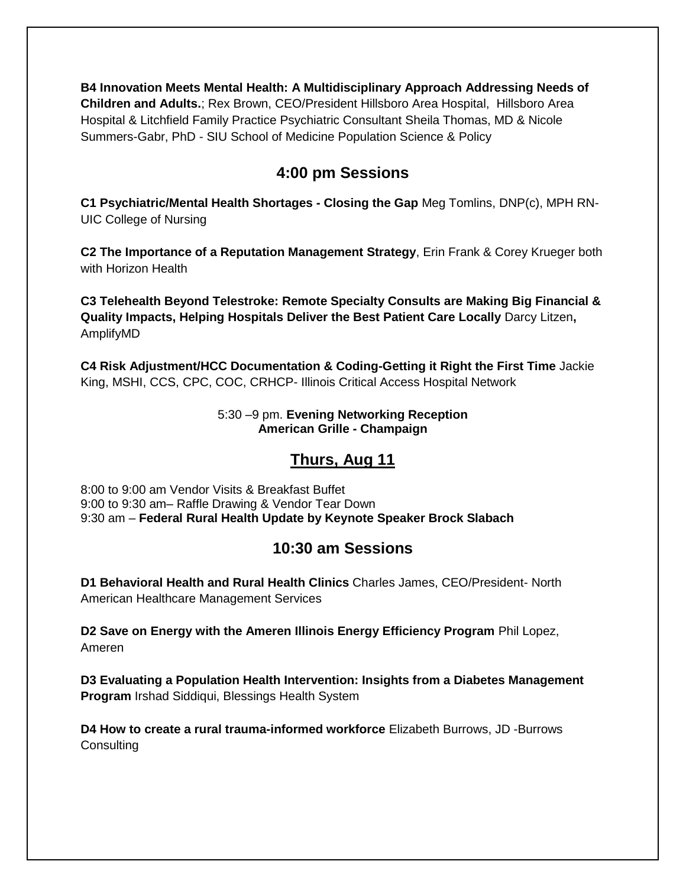**B4 Innovation Meets Mental Health: A Multidisciplinary Approach Addressing Needs of Children and Adults.**; Rex Brown, CEO/President Hillsboro Area Hospital, Hillsboro Area Hospital & Litchfield Family Practice Psychiatric Consultant Sheila Thomas, MD & Nicole Summers-Gabr, PhD - SIU School of Medicine Population Science & Policy

### **4:00 pm Sessions**

**C1 Psychiatric/Mental Health Shortages - Closing the Gap** Meg Tomlins, DNP(c), MPH RN-UIC College of Nursing

**C2 The Importance of a Reputation Management Strategy**, Erin Frank & Corey Krueger both with Horizon Health

**C3 Telehealth Beyond Telestroke: Remote Specialty Consults are Making Big Financial & Quality Impacts, Helping Hospitals Deliver the Best Patient Care Locally** Darcy Litzen**,**  AmplifyMD

**C4 Risk Adjustment/HCC Documentation & Coding-Getting it Right the First Time** Jackie King, MSHI, CCS, CPC, COC, CRHCP- Illinois Critical Access Hospital Network

> 5:30 –9 pm. **Evening Networking Reception American Grille - Champaign**

## **Thurs, Aug 11**

8:00 to 9:00 am Vendor Visits & Breakfast Buffet 9:00 to 9:30 am– Raffle Drawing & Vendor Tear Down 9:30 am – **Federal Rural Health Update by Keynote Speaker Brock Slabach**

#### **10:30 am Sessions**

**D1 Behavioral Health and Rural Health Clinics** Charles James, CEO/President- North American Healthcare Management Services

**D2 Save on Energy with the Ameren Illinois Energy Efficiency Program** Phil Lopez, Ameren

**D3 Evaluating a Population Health Intervention: Insights from a Diabetes Management Program** Irshad Siddiqui, Blessings Health System

**D4 How to create a rural trauma-informed workforce** Elizabeth Burrows, JD -Burrows **Consulting**